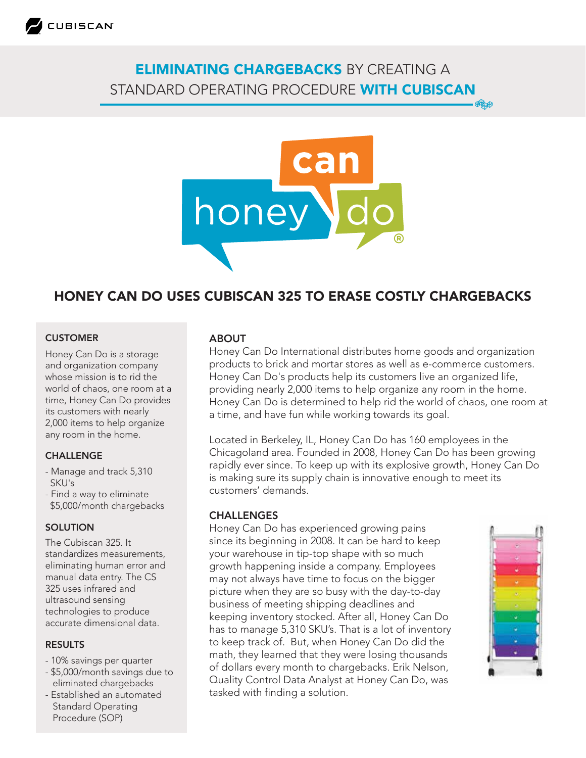

## ELIMINATING CHARGEBACKS BY CREATING A STANDARD OPERATING PROCEDURE WITH CUBISCAN **ORAN**



# HONEY CAN DO USES CUBISCAN 325 TO ERASE COSTLY CHARGEBACKS

#### CUSTOMER

Honey Can Do is a storage and organization company whose mission is to rid the world of chaos, one room at a time, Honey Can Do provides its customers with nearly 2,000 items to help organize any room in the home.

#### **CHALLENGE**

- Manage and track 5,310 SKU's
- Find a way to eliminate \$5,000/month chargebacks

#### **SOLUTION**

The Cubiscan 325. It standardizes measurements, eliminating human error and manual data entry. The CS 325 uses infrared and ultrasound sensing technologies to produce accurate dimensional data.

#### RESULTS

- 10% savings per quarter
- \$5,000/month savings due to eliminated chargebacks
- Established an automated Standard Operating Procedure (SOP)

#### ABOUT

Honey Can Do International distributes home goods and organization products to brick and mortar stores as well as e-commerce customers. Honey Can Do's products help its customers live an organized life, providing nearly 2,000 items to help organize any room in the home. Honey Can Do is determined to help rid the world of chaos, one room at a time, and have fun while working towards its goal.

Located in Berkeley, IL, Honey Can Do has 160 employees in the Chicagoland area. Founded in 2008, Honey Can Do has been growing rapidly ever since. To keep up with its explosive growth, Honey Can Do is making sure its supply chain is innovative enough to meet its customers' demands.

#### CHALLENGES

Honey Can Do has experienced growing pains since its beginning in 2008. It can be hard to keep your warehouse in tip-top shape with so much growth happening inside a company. Employees may not always have time to focus on the bigger picture when they are so busy with the day-to-day business of meeting shipping deadlines and keeping inventory stocked. After all, Honey Can Do has to manage 5,310 SKU's. That is a lot of inventory to keep track of. But, when Honey Can Do did the math, they learned that they were losing thousands of dollars every month to chargebacks. Erik Nelson, Quality Control Data Analyst at Honey Can Do, was tasked with finding a solution.